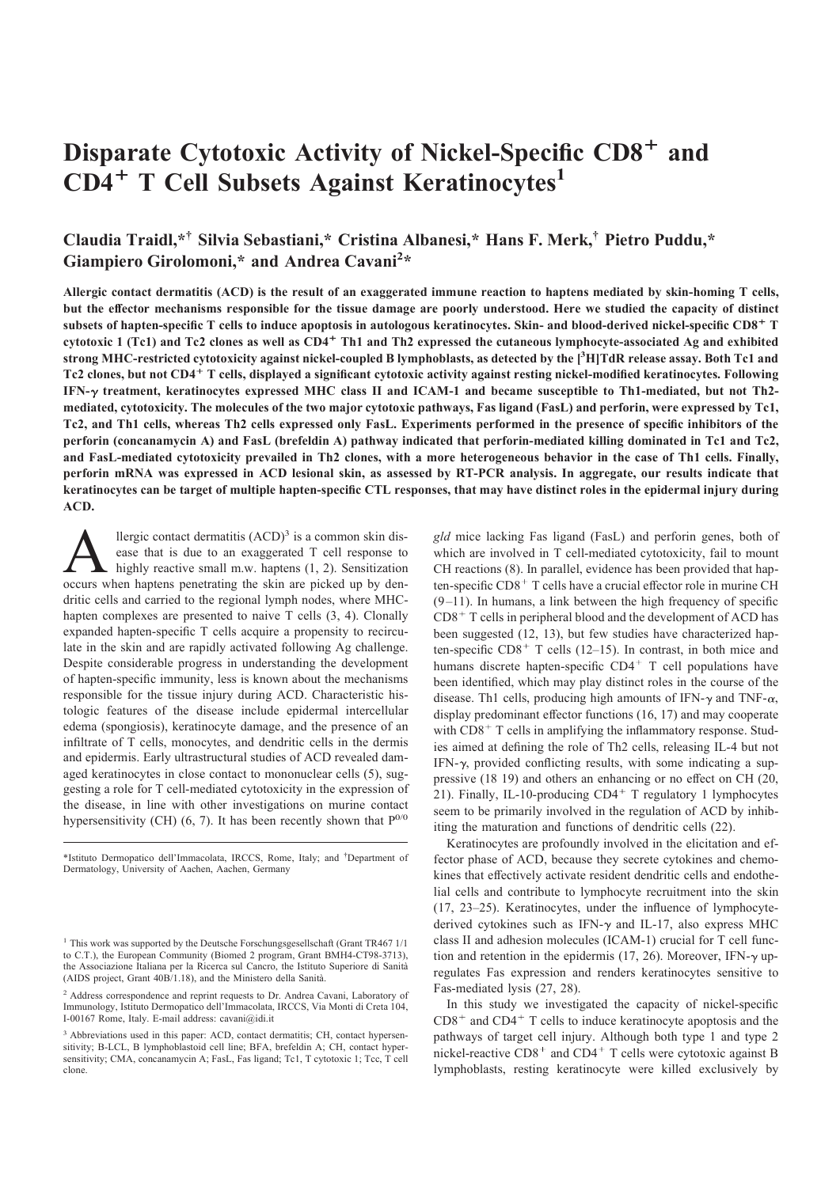# Disparate Cytotoxic Activity of Nickel-Specific CD8<sup>+</sup> and CD4<sup>+</sup> T Cell Subsets Against Keratinocytes<sup>1</sup>

# Claudia Traidl,\*† Silvia Sebastiani,\* Cristina Albanesi,\* Hans F. Merk,† Pietro Puddu,\* Giampiero Girolomoni,\* and Andrea Cavani<sup>2</sup>\*

Allergic contact dermatitis (ACD) is the result of an exaggerated immune reaction to haptens mediated by skin-homing T cells, but the effector mechanisms responsible for the tissue damage are poorly understood. Here we studied the capacity of distinct subsets of hapten-specific T cells to induce apoptosis in autologous keratinocytes. Skin- and blood-derived nickel-specific CD8<sup>+</sup> T cytotoxic 1 (Tc1) and Tc2 clones as well as CD4<sup>+</sup> Th1 and Th2 expressed the cutaneous lymphocyte-associated Ag and exhibited strong MHC-restricted cytotoxicity against nickel-coupled B lymphoblasts, as detected by the [<sup>3</sup> H]TdR release assay. Both Tc1 and Tc2 clones, but not CD4<sup>+</sup> T cells, displayed a significant cytotoxic activity against resting nickel-modified keratinocytes. Following IFN- $\gamma$  treatment, keratinocytes expressed MHC class II and ICAM-1 and became susceptible to Th1-mediated, but not Th2mediated, cytotoxicity. The molecules of the two major cytotoxic pathways, Fas ligand (FasL) and perforin, were expressed by Tc1, Tc2, and Th1 cells, whereas Th2 cells expressed only FasL. Experiments performed in the presence of specific inhibitors of the perforin (concanamycin A) and FasL (brefeldin A) pathway indicated that perforin-mediated killing dominated in Tc1 and Tc2, and FasL-mediated cytotoxicity prevailed in Th2 clones, with a more heterogeneous behavior in the case of Th1 cells. Finally, perforin mRNA was expressed in ACD lesional skin, as assessed by RT-PCR analysis. In aggregate, our results indicate that keratinocytes can be target of multiple hapten-specific CTL responses, that may have distinct roles in the epidermal injury during ACD. **Disparate Cytotoxie Activity of Nickel-Specific CDS<sup>+</sup> and<br>CD4<sup>+</sup> T Cell Subsets Against Keratinocytes<sup>1</sup><br>Claudin Tentative Christians (Christians Alternative Christians Christians Controlline Christians Christians Contr** 

A llergic contact dermatitis (ACD)<sup>3</sup> is a common skin dis-<br>ease that is due to an exaggerated T cell response to<br>highly reactive small m.w. haptens (1, 2). Sensitization<br>occurs when haptens penetrating the skin are picked llergic contact dermatitis  $(ACD)^3$  is a common skin dis- gld mice lacking ease that is due to an exaggerated T cell response to highly reactive small m.w. haptens  $(1, 2)$ . Sensitization dritic cells and carried to the regional lymph nodes, where MHChapten complexes are presented to naive T cells (3, 4). Clonally expanded hapten-specific T cells acquire a propensity to recirculate in the skin and are rapidly activated following Ag challenge. Despite considerable progress in understanding the development of hapten-specific immunity, less is known about the mechanisms responsible for the tissue injury during ACD. Characteristic histologic features of the disease include epidermal intercellular edema (spongiosis), keratinocyte damage, and the presence of an infiltrate of T cells, monocytes, and dendritic cells in the dermis and epidermis. Early ultrastructural studies of ACD revealed damaged keratinocytes in close contact to mononuclear cells (5), suggesting a role for T cell-mediated cytotoxicity in the expression of the disease, in line with other investigations on murine contact hypersensitivity (CH) (6, 7). It has been recently shown that  $P^{0/0}$ 

\*Istituto Dermopatico dell'Immacolata, IRCCS, Rome, Italy; and † Department of Dermatology, University of Aachen, Aachen, Germany

gld mice lacking Fas ligand (FasL) and perforin genes, both of which are involved in T cell-mediated cytotoxicity, fail to mount CH reactions (8). In parallel, evidence has been provided that hapten-specific  $CD8<sup>+</sup>$  T cells have a crucial effector role in murine CH  $(9-11)$ . In humans, a link between the high frequency of specific  $CD8<sup>+</sup>$  T cells in peripheral blood and the development of ACD has been suggested (12, 13), but few studies have characterized hapten-specific  $CD8<sup>+</sup>$  T cells (12–15). In contrast, in both mice and humans discrete hapten-specific  $CD4^+$  T cell populations have been identified, which may play distinct roles in the course of the disease. Th1 cells, producing high amounts of IFN- $\gamma$  and TNF- $\alpha$ , display predominant effector functions (16, 17) and may cooperate with  $CD8<sup>+</sup>$  T cells in amplifying the inflammatory response. Studies aimed at defining the role of Th2 cells, releasing IL-4 but not IFN- $\gamma$ , provided conflicting results, with some indicating a suppressive (18 19) and others an enhancing or no effect on CH (20, 21). Finally, IL-10-producing  $CD4^+$  T regulatory 1 lymphocytes seem to be primarily involved in the regulation of ACD by inhibiting the maturation and functions of dendritic cells (22).

Keratinocytes are profoundly involved in the elicitation and effector phase of ACD, because they secrete cytokines and chemokines that effectively activate resident dendritic cells and endothelial cells and contribute to lymphocyte recruitment into the skin (17, 23–25). Keratinocytes, under the influence of lymphocytederived cytokines such as IFN- $\gamma$  and IL-17, also express MHC class II and adhesion molecules (ICAM-1) crucial for T cell function and retention in the epidermis (17, 26). Moreover, IFN- $\gamma$  upregulates Fas expression and renders keratinocytes sensitive to Fas-mediated lysis (27, 28).

In this study we investigated the capacity of nickel-specific  $CD8<sup>+</sup>$  and  $CD4<sup>+</sup>$  T cells to induce keratinocyte apoptosis and the pathways of target cell injury. Although both type 1 and type 2 nickel-reactive  $CD8<sup>+</sup>$  and  $CD4<sup>+</sup>$  T cells were cytotoxic against B lymphoblasts, resting keratinocyte were killed exclusively by

<sup>&</sup>lt;sup>1</sup> This work was supported by the Deutsche Forschungsgesellschaft (Grant TR467 1/1 to C.T.), the European Community (Biomed 2 program, Grant BMH4-CT98-3713), the Associazione Italiana per la Ricerca sul Cancro, the Istituto Superiore di Sanita` (AIDS project, Grant 40B/1.18), and the Ministero della Sanita`.

<sup>&</sup>lt;sup>2</sup> Address correspondence and reprint requests to Dr. Andrea Cavani, Laboratory of Immunology, Istituto Dermopatico dell'Immacolata, IRCCS, Via Monti di Creta 104, I-00167 Rome, Italy. E-mail address: cavani@idi.it

<sup>&</sup>lt;sup>3</sup> Abbreviations used in this paper: ACD, contact dermatitis; CH, contact hypersensitivity; B-LCL, B lymphoblastoid cell line; BFA, brefeldin A; CH, contact hypersensitivity; CMA, concanamycin A; FasL, Fas ligand; Tc1, T cytotoxic 1; Tcc, T cell clone.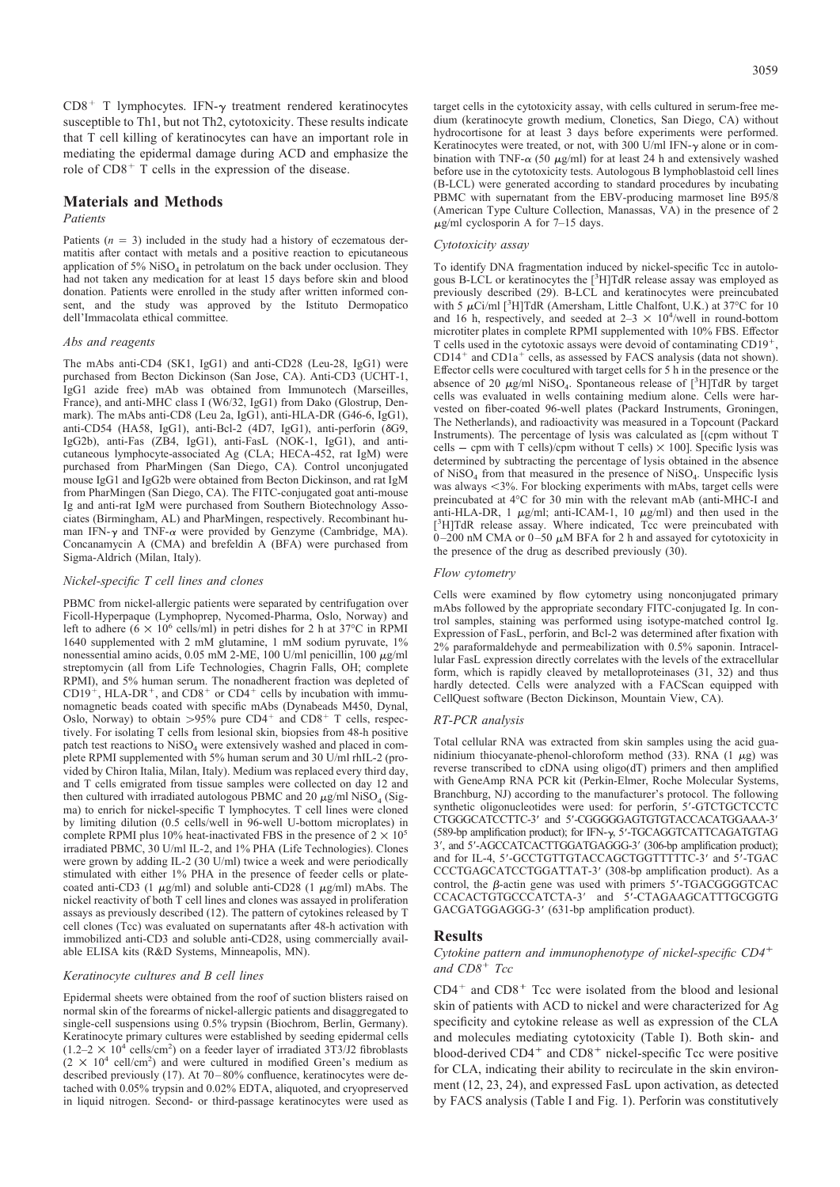$CD8<sup>+</sup>$  T lymphocytes. IFN- $\gamma$  treatment rendered keratinocytes susceptible to Th1, but not Th2, cytotoxicity. These results indicate that T cell killing of keratinocytes can have an important role in mediating the epidermal damage during ACD and emphasize the role of  $CD8<sup>+</sup>$  T cells in the expression of the disease.

# Materials and Methods

#### Patients

Patients  $(n = 3)$  included in the study had a history of eczematous dermatitis after contact with metals and a positive reaction to epicutaneous application of 5%  $Niso<sub>4</sub>$  in petrolatum on the back under occlusion. They had not taken any medication for at least 15 days before skin and blood donation. Patients were enrolled in the study after written informed consent, and the study was approved by the Istituto Dermopatico dell'Immacolata ethical committee.

# Abs and reagents

The mAbs anti-CD4 (SK1, IgG1) and anti-CD28 (Leu-28, IgG1) were purchased from Becton Dickinson (San Jose, CA). Anti-CD3 (UCHT-1, IgG1 azide free) mAb was obtained from Immunotech (Marseilles, France), and anti-MHC class I (W6/32, IgG1) from Dako (Glostrup, Denmark). The mAbs anti-CD8 (Leu 2a, IgG1), anti-HLA-DR (G46-6, IgG1), anti-CD54 (HA58, IgG1), anti-Bcl-2 (4D7, IgG1), anti-perforin ( $\delta$ G9, IgG2b), anti-Fas (ZB4, IgG1), anti-FasL (NOK-1, IgG1), and anticutaneous lymphocyte-associated Ag (CLA; HECA-452, rat IgM) were purchased from PharMingen (San Diego, CA). Control unconjugated mouse IgG1 and IgG2b were obtained from Becton Dickinson, and rat IgM from PharMingen (San Diego, CA). The FITC-conjugated goat anti-mouse Ig and anti-rat IgM were purchased from Southern Biotechnology Associates (Birmingham, AL) and PharMingen, respectively. Recombinant human IFN- $\gamma$  and TNF- $\alpha$  were provided by Genzyme (Cambridge, MA). Concanamycin A (CMA) and brefeldin A (BFA) were purchased from Sigma-Aldrich (Milan, Italy).

# Nickel-specific T cell lines and clones

PBMC from nickel-allergic patients were separated by centrifugation over Ficoll-Hyperpaque (Lymphoprep, Nycomed-Pharma, Oslo, Norway) and left to adhere  $(6 \times 10^6 \text{ cells/ml})$  in petri dishes for 2 h at 37°C in RPMI 1640 supplemented with 2 mM glutamine, 1 mM sodium pyruvate, 1% nonessential amino acids,  $0.05$  mM 2-ME,  $100$  U/ml penicillin,  $100 \ \mu\text{g/ml}$ streptomycin (all from Life Technologies, Chagrin Falls, OH; complete RPMI), and 5% human serum. The nonadherent fraction was depleted of  $CD19<sup>2</sup>$ , HLA-DR<sup>+</sup>, and CD8<sup>+</sup> or CD4<sup>+</sup> cells by incubation with immunomagnetic beads coated with specific mAbs (Dynabeads M450, Dynal, Oslo, Norway) to obtain  $>95\%$  pure CD4<sup>+</sup> and CD8<sup>+</sup> T cells, respectively. For isolating T cells from lesional skin, biopsies from 48-h positive patch test reactions to NiSO<sub>4</sub> were extensively washed and placed in complete RPMI supplemented with 5% human serum and 30 U/ml rhIL-2 (provided by Chiron Italia, Milan, Italy). Medium was replaced every third day, and T cells emigrated from tissue samples were collected on day 12 and then cultured with irradiated autologous PBMC and 20  $\mu$ g/ml NiSO<sub>4</sub> (Sig-Branchburg, NJ) according to the ma ma) to enrich for nickel-specific T lymphocytes. T cell lines were cloned by limiting dilution (0.5 cells/well in 96-well U-bottom microplates) in complete RPMI plus 10% heat-inactivated FBS in the presence of  $2 \times 10^5$ irradiated PBMC, 30 U/ml IL-2, and 1% PHA (Life Technologies). Clones were grown by adding IL-2 (30 U/ml) twice a week and were periodically stimulated with either 1% PHA in the presence of feeder cells or platecoated anti-CD3 (1  $\mu$ g/ml) and soluble anti-CD28 (1  $\mu$ g/ml) mAbs. The nickel reactivity of both T cell lines and clones was assayed in proliferation assays as previously described (12). The pattern of cytokines released by T cell clones (Tcc) was evaluated on supernatants after 48-h activation with immobilized anti-CD3 and soluble anti-CD28, using commercially available ELISA kits (R&D Systems, Minneapolis, MN).

#### Keratinocyte cultures and B cell lines

Epidermal sheets were obtained from the roof of suction blisters raised on normal skin of the forearms of nickel-allergic patients and disaggregated to single-cell suspensions using 0.5% trypsin (Biochrom, Berlin, Germany). Keratinocyte primary cultures were established by seeding epidermal cells  $(1.2-2 \times 10^{4} \text{ cells/cm}^2)$  on a feeder layer of irradiated  $3\frac{3}{13}$ J2 fibroblasts  $(2 \times 10^4 \text{ cell/cm}^2)$  and were cultured in modified Green's medium as described previously (17). At 70– 80% confluence, keratinocytes were detached with 0.05% trypsin and 0.02% EDTA, aliquoted, and cryopreserved in liquid nitrogen. Second- or third-passage keratinocytes were used as target cells in the cytotoxicity assay, with cells cultured in serum-free medium (keratinocyte growth medium, Clonetics, San Diego, CA) without hydrocortisone for at least 3 days before experiments were performed. Keratinocytes were treated, or not, with 300 U/ml IFN- $\gamma$  alone or in combination with TNF- $\alpha$  (50  $\mu$ g/ml) for at least 24 h and extensively washed before use in the cytotoxicity tests. Autologous B lymphoblastoid cell lines (B-LCL) were generated according to standard procedures by incubating PBMC with supernatant from the EBV-producing marmoset line B95/8 (American Type Culture Collection, Manassas, VA) in the presence of 2  $\mu$ g/ml cyclosporin A for 7–15 days.

#### Cytotoxicity assay

To identify DNA fragmentation induced by nickel-specific Tcc in autologous B-LCL or keratinocytes the  $[{}^{3}H]TdR$  release assay was employed as previously described (29). B-LCL and keratinocytes were preincubated with 5  $\mu$ Ci/ml [<sup>3</sup>H]TdR (Amersham, Little Chalfont, U.K.) at 37°C for 10 and 16 h, respectively, and seeded at  $2-3 \times 10^4$ /well in round-bottom microtiter plates in complete RPMI supplemented with 10% FBS. Effector T cells used in the cytotoxic assays were devoid of contaminating CD19<sup>+</sup>,  $CD14^+$  and  $CD1a^+$  cells, as assessed by FACS analysis (data not shown). Effector cells were cocultured with target cells for 5 h in the presence or the absence of 20  $\mu$ g/ml NiSO<sub>4</sub>. Spontaneous release of [<sup>3</sup>H]TdR by target cells was evaluated in wells containing medium alone. Cells were harvested on fiber-coated 96-well plates (Packard Instruments, Groningen, The Netherlands), and radioactivity was measured in a Topcount (Packard Instruments). The percentage of lysis was calculated as [(cpm without T cells – cpm with T cells)/cpm without T cells)  $\times$  100]. Specific lysis was determined by subtracting the percentage of lysis obtained in the absence of NiSO<sub>4</sub> from that measured in the presence of NiSO<sub>4</sub>. Unspecific lysis was always <3%. For blocking experiments with mAbs, target cells were preincubated at 4°C for 30 min with the relevant mAb (anti-MHC-I and anti-HLA-DR, 1  $\mu$ g/ml; anti-ICAM-1, 10  $\mu$ g/ml) and then used in the [<sup>3</sup>H]TdR release assay. Where indicated, Tcc were preincubated with  $0-200$  nM CMA or  $0-50 \mu$ M BFA for 2 h and assayed for cytotoxicity in the presence of the drug as described previously (30).

#### Flow cytometry

Cells were examined by flow cytometry using nonconjugated primary mAbs followed by the appropriate secondary FITC-conjugated Ig. In control samples, staining was performed using isotype-matched control Ig. Expression of FasL, perforin, and Bcl-2 was determined after fixation with 2% paraformaldehyde and permeabilization with 0.5% saponin. Intracellular FasL expression directly correlates with the levels of the extracellular form, which is rapidly cleaved by metalloproteinases (31, 32) and thus hardly detected. Cells were analyzed with a FACScan equipped with CellQuest software (Becton Dickinson, Mountain View, CA).

# RT-PCR analysis

Total cellular RNA was extracted from skin samples using the acid guanidinium thiocyanate-phenol-chloroform method (33). RNA (1  $\mu$ g) was reverse transcribed to cDNA using oligo(dT) primers and then amplified with GeneAmp RNA PCR kit (Perkin-Elmer, Roche Molecular Systems, Branchburg, NJ) according to the manufacturer's protocol. The following synthetic oligonucleotides were used: for perforin, 5'-GTCTGCTCCTC CTGGGCATCCTTC-3' and 5'-CGGGGGAGTGTGTACCACATGGAAA-3' (589-bp amplification product); for IFN- $\gamma$ , 5'-TGCAGGTCATTCAGATGTAG 3', and 5'-AGCCATCACTTGGATGAGGG-3' (306-bp amplification product); and for IL-4, 5'-GCCTGTTGTACCAGCTGGTTTTTC-3' and 5'-TGAC CCCTGAGCATCCTGGATTAT-3 (308-bp amplification product). As a control, the  $\beta$ -actin gene was used with primers 5'-TGACGGGGTCAC CCACACTGTGCCCATCTA-3' and 5'-CTAGAAGCATTTGCGGTG GACGATGGAGGG-3' (631-bp amplification product).

#### Results

# Cytokine pattern and immunophenotype of nickel-specific  $CD4^+$ and  $CD8<sup>+</sup> Tcc$

 $CD4^+$  and  $CD8^+$  Tcc were isolated from the blood and lesional skin of patients with ACD to nickel and were characterized for Ag specificity and cytokine release as well as expression of the CLA and molecules mediating cytotoxicity (Table I). Both skin- and blood-derived  $CD4^+$  and  $CD8^+$  nickel-specific Tcc were positive for CLA, indicating their ability to recirculate in the skin environment (12, 23, 24), and expressed FasL upon activation, as detected by FACS analysis (Table I and Fig. 1). Perforin was constitutively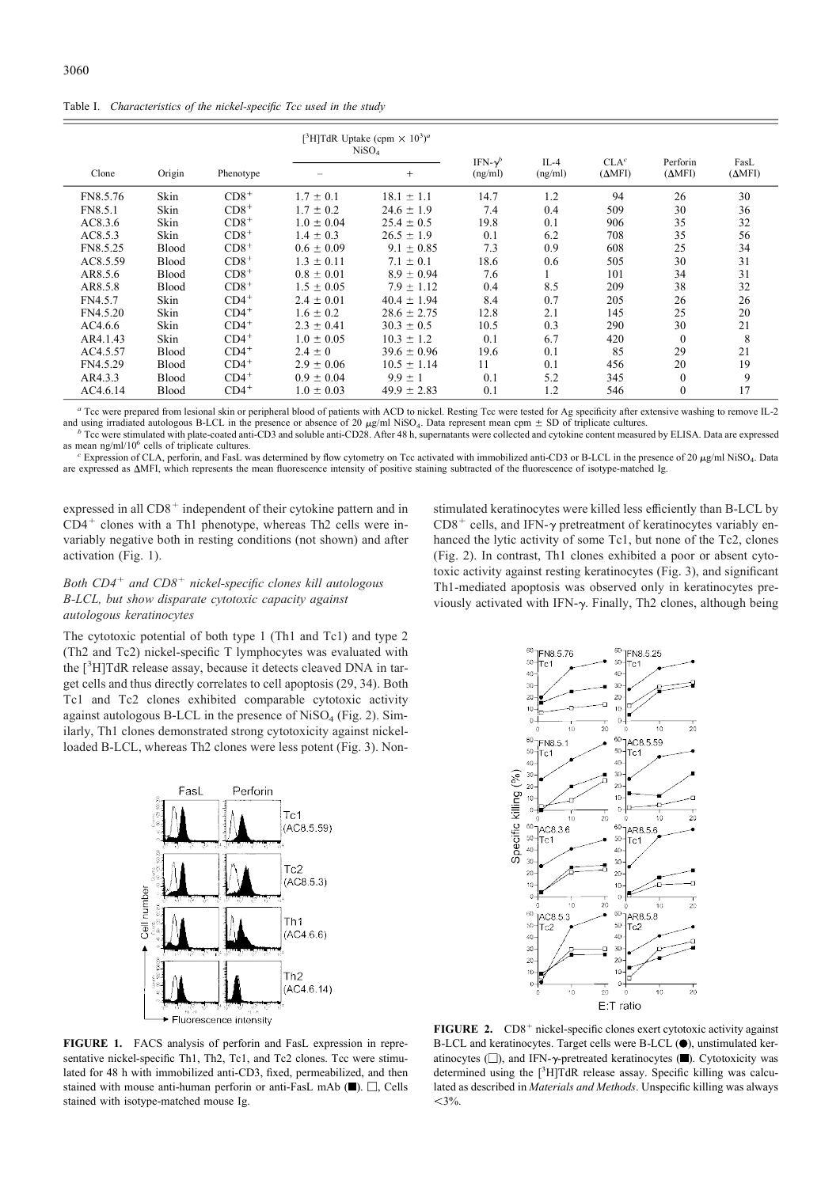Table I. Characteristics of the nickel-specific Tcc used in the study

|                |              |           | [ <sup>3</sup> H]TdR Uptake (cpm $\times$ 10 <sup>3</sup> ) <sup>a</sup><br>NiSO <sub>4</sub> |                 | IFN- $\gamma^b$ | $IL-4$  | CLA <sup>c</sup> | Perforin       | FasL           |
|----------------|--------------|-----------|-----------------------------------------------------------------------------------------------|-----------------|-----------------|---------|------------------|----------------|----------------|
| Clone          | Origin       | Phenotype |                                                                                               | $+$             | (ng/ml)         | (ng/ml) | $(\Delta MFI)$   | $(\Delta MFI)$ | $(\Delta MFI)$ |
| FN8.5.76       | Skin         | $CD8+$    | $1.7 \pm 0.1$                                                                                 | $18.1 \pm 1.1$  | 14.7            | 1.2     | 94               | 26             | 30             |
| <b>FN8.5.1</b> | Skin         | $CD8+$    | $1.7 \pm 0.2$                                                                                 | $24.6 \pm 1.9$  | 7.4             | 0.4     | 509              | 30             | 36             |
| AC8.3.6        | Skin         | $CD8+$    | $1.0 \pm 0.04$                                                                                | $25.4 \pm 0.5$  | 19.8            | 0.1     | 906              | 35             | 32             |
| AC8.5.3        | Skin         | $CD8+$    | $1.4 \pm 0.3$                                                                                 | $26.5 \pm 1.9$  | 0.1             | 6.2     | 708              | 35             | 56             |
| FN8.5.25       | Blood        | $CD8+$    | $0.6 \pm 0.09$                                                                                | $9.1 \pm 0.85$  | 7.3             | 0.9     | 608              | 25             | 34             |
| AC8.5.59       | <b>Blood</b> | $CD8+$    | $1.3 \pm 0.11$                                                                                | $7.1 \pm 0.1$   | 18.6            | 0.6     | 505              | 30             | 31             |
| AR8.5.6        | Blood        | $CD8+$    | $0.8 \pm 0.01$                                                                                | $8.9 \pm 0.94$  | 7.6             |         | 101              | 34             | 31             |
| AR8.5.8        | Blood        | $CD8+$    | $1.5 \pm 0.05$                                                                                | $7.9 \pm 1.12$  | 0.4             | 8.5     | 209              | 38             | 32             |
| FN4.5.7        | Skin         | $CD4^+$   | $2.4 \pm 0.01$                                                                                | $40.4 \pm 1.94$ | 8.4             | 0.7     | 205              | 26             | 26             |
| FN4.5.20       | Skin         | $CD4^+$   | $1.6 \pm 0.2$                                                                                 | $28.6 \pm 2.75$ | 12.8            | 2.1     | 145              | 25             | 20             |
| AC4.6.6        | Skin         | $CD4^+$   | $2.3 \pm 0.41$                                                                                | $30.3 \pm 0.5$  | 10.5            | 0.3     | 290              | 30             | 21             |
| AR4.1.43       | Skin         | $CD4^+$   | $1.0 \pm 0.05$                                                                                | $10.3 \pm 1.2$  | 0.1             | 6.7     | 420              | $\overline{0}$ | 8              |
| AC4.5.57       | Blood        | $CD4^+$   | $2.4 \pm 0$                                                                                   | $39.6 \pm 0.96$ | 19.6            | 0.1     | 85               | 29             | 21             |
| FN4.5.29       | <b>Blood</b> | $CD4^+$   | $2.9 \pm 0.06$                                                                                | $10.5 \pm 1.14$ | 11              | 0.1     | 456              | 20             | 19             |
| AR4.3.3        | <b>Blood</b> | $CD4^+$   | $0.9 \pm 0.04$                                                                                | $9.9 \pm 1$     | 0.1             | 5.2     | 345              | $\mathbf{0}$   | 9              |
| AC4.6.14       | <b>Blood</b> | $CD4^+$   | $1.0 \pm 0.03$                                                                                | $49.9 \pm 2.83$ | 0.1             | 1.2     | 546              | $\theta$       | 17             |

<sup>a</sup> Tcc were prepared from lesional skin or peripheral blood of patients with ACD to nickel. Resting Tcc were tested for Ag specificity after extensive washing to remove IL-2 and using irradiated autologous B-LCL in the presence or absence of 20  $\mu$ g/ml NiSO<sub>4</sub>. Data represent mean cpm  $\pm$  SD of triplicate cultures.<br><sup>b</sup> Tcc were stimulated with plate-coated anti-CD3 and soluble anti-CD28. Af

<sup>b</sup> Tcc were stimulated with plate-coated anti-CD3 and soluble anti-CD28. After 48 h, supernatants were collected and cytokine content measured by ELISA. Data are expressed

as mean  $\frac{ng}{m}$ /10<sup>6</sup> cells of triplicate cultures. Expression of CLA, perforin, and FasL was determined by flow cytometry on Tcc activated with immobilized anti-CD3 or B-LCL in the presence of 20  $\mu$ g/ml NiSO<sub>4</sub>. Data are expressed as MFI, which represents the mean fluorescence intensity of positive staining subtracted of the fluorescence of isotype-matched Ig.

expressed in all  $CD8<sup>+</sup>$  independent of their cytokine pattern and in  $CD4^+$  clones with a Th1 phenotype, whereas Th2 cells were invariably negative both in resting conditions (not shown) and after activation (Fig. 1).

# Both  $CD4^+$  and  $CD8^+$  nickel-specific clones kill autologous B-LCL, but show disparate cytotoxic capacity against autologous keratinocytes

The cytotoxic potential of both type 1 (Th1 and Tc1) and type 2 (Th2 and Tc2) nickel-specific T lymphocytes was evaluated with the [<sup>3</sup> H]TdR release assay, because it detects cleaved DNA in target cells and thus directly correlates to cell apoptosis (29, 34). Both Tc1 and Tc2 clones exhibited comparable cytotoxic activity against autologous B-LCL in the presence of NiSO<sub>4</sub> (Fig. 2). Similarly, Th1 clones demonstrated strong cytotoxicity against nickelloaded B-LCL, whereas Th2 clones were less potent (Fig. 3). Non-



 $\overline{20}$  $\overline{20}$ ć  $\overline{10}$  $\overline{a}$  $_{20}$  $\frac{1}{20}$  $^{60}$  TAC8.5.59  $60$ ]FN8.5.1  $50 - Tc1$  $50 - Tc1$  $\overline{40}$  $40^{\circ}$  $\overline{\mathcal{X}}$  $30$ Specific killing (%)  $\alpha$  $20$ h  $10$ .<br>F مل  $\ddot{\phantom{0}}$  $\dot{20}$ Бò **AO**  $60$ **TAC836** TAR8.5.6  $50<sup>°</sup>$  $50<sup>°</sup>$ Tc1 tTc1  $40$  $\overline{40}$  $\mathbf{q}$  $20$  $20^{\circ}$  $\overline{2}$  $10$ k,  $\Omega$  $\frac{1}{20}$  $60$  $\bar{R}l$ **IAR858** TAC8.5.3  $\int$ Tc2  $\overline{\mathbf{s}}$  $50 -$ Tc2  $40$  $40$  $30<sub>1</sub>$  $30$  $20$  $20$  $10$  $\ddot{ }$  $\Omega$ -à  $\frac{1}{10}$ 20 E:T ratio

stimulated keratinocytes were killed less efficiently than B-LCL by  $CD8<sup>+</sup>$  cells, and IFN- $\gamma$  pretreatment of keratinocytes variably enhanced the lytic activity of some Tc1, but none of the Tc2, clones (Fig. 2). In contrast, Th1 clones exhibited a poor or absent cytotoxic activity against resting keratinocytes (Fig. 3), and significant Th1-mediated apoptosis was observed only in keratinocytes previously activated with IFN- $\gamma$ . Finally, Th2 clones, although being

> 60 **TENS 5.25**

 $40$ 

Te1

 $60$ <sup>60</sup> FN8.5.76

 $50$ -Іт∝1

 $\overline{4}$ 

FIGURE 1. FACS analysis of perforin and FasL expression in representative nickel-specific Th1, Th2, Tc1, and Tc2 clones. Tcc were stimulated for 48 h with immobilized anti-CD3, fixed, permeabilized, and then stained with mouse anti-human perforin or anti-FasL mAb  $(\blacksquare)$ .  $\Box$ , Cells stained with isotype-matched mouse Ig.

FIGURE 2.  $CD8^+$  nickel-specific clones exert cytotoxic activity against B-LCL and keratinocytes. Target cells were B-LCL (.), unstimulated keratinocytes ( $\Box$ ), and IFN- $\gamma$ -pretreated keratinocytes ( $\Box$ ). Cytotoxicity was determined using the [<sup>3</sup>H]TdR release assay. Specific killing was calculated as described in Materials and Methods. Unspecific killing was always  $<$ 3%.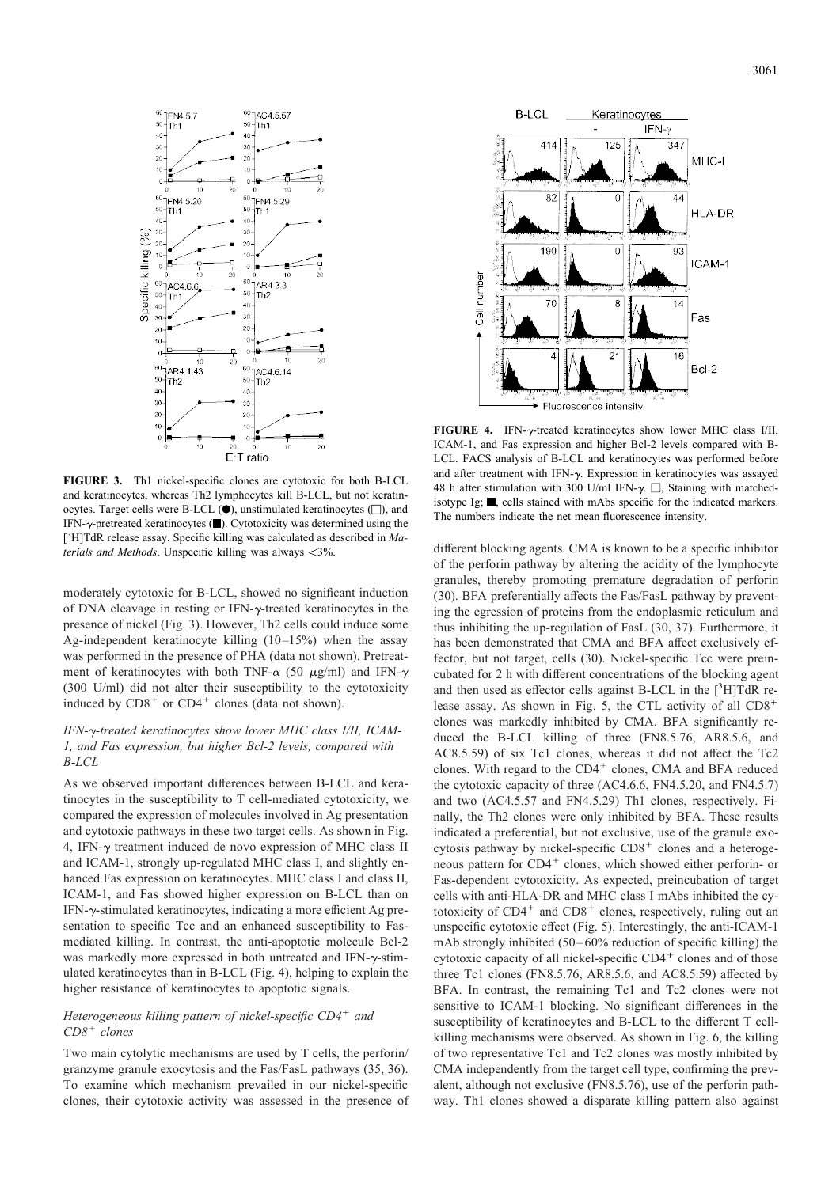

FIGURE 3. Th1 nickel-specific clones are cytotoxic for both B-LCL and keratinocytes, whereas Th2 lymphocytes kill B-LCL, but not keratinocytes. Target cells were B-LCL  $(\bullet)$ , unstimulated keratinocytes  $(\Box)$ , and IFN- $\gamma$ -pretreated keratinocytes ( $\blacksquare$ ). Cytotoxicity was determined using the [ $3$ H]TdR release assay. Specific killing was calculated as described in Materials and Methods. Unspecific killing was always  $\leq$ 3%.

moderately cytotoxic for B-LCL, showed no significant induction of DNA cleavage in resting or IFN- $\gamma$ -treated keratinocytes in the presence of nickel (Fig. 3). However, Th2 cells could induce some Ag-independent keratinocyte killing (10–15%) when the assay was performed in the presence of PHA (data not shown). Pretreatment of keratinocytes with both TNF- $\alpha$  (50  $\mu$ g/ml) and IFN- $\gamma$ (300 U/ml) did not alter their susceptibility to the cytotoxicity induced by  $CDS^+$  or  $CD4^+$  clones (data not shown).

# IFN-y-treated keratinocytes show lower MHC class I/II, ICAM-1, and Fas expression, but higher Bcl-2 levels, compared with B-LCL

As we observed important differences between B-LCL and keratinocytes in the susceptibility to T cell-mediated cytotoxicity, we compared the expression of molecules involved in Ag presentation and cytotoxic pathways in these two target cells. As shown in Fig. 4, IFN- $\gamma$  treatment induced de novo expression of MHC class II and ICAM-1, strongly up-regulated MHC class I, and slightly enhanced Fas expression on keratinocytes. MHC class I and class II, ICAM-1, and Fas showed higher expression on B-LCL than on  $IFN-\gamma$ -stimulated keratinocytes, indicating a more efficient Ag presentation to specific Tcc and an enhanced susceptibility to Fasmediated killing. In contrast, the anti-apoptotic molecule Bcl-2 was markedly more expressed in both untreated and IFN- $\gamma$ -stimulated keratinocytes than in B-LCL (Fig. 4), helping to explain the higher resistance of keratinocytes to apoptotic signals.

# Heterogeneous killing pattern of nickel-specific  $CD4^+$  and  $CD8<sup>+</sup> clones$

Two main cytolytic mechanisms are used by T cells, the perforin/ granzyme granule exocytosis and the Fas/FasL pathways (35, 36). To examine which mechanism prevailed in our nickel-specific clones, their cytotoxic activity was assessed in the presence of



FIGURE 4. IFN- $\gamma$ -treated keratinocytes show lower MHC class I/II, ICAM-1, and Fas expression and higher Bcl-2 levels compared with B-LCL. FACS analysis of B-LCL and keratinocytes was performed before and after treatment with IFN- $\gamma$ . Expression in keratinocytes was assayed 48 h after stimulation with 300 U/ml IFN- $\gamma$ .  $\Box$ , Staining with matchedisotype Ig;  $\blacksquare$ , cells stained with mAbs specific for the indicated markers. The numbers indicate the net mean fluorescence intensity.

different blocking agents. CMA is known to be a specific inhibitor of the perforin pathway by altering the acidity of the lymphocyte granules, thereby promoting premature degradation of perforin (30). BFA preferentially affects the Fas/FasL pathway by preventing the egression of proteins from the endoplasmic reticulum and thus inhibiting the up-regulation of FasL (30, 37). Furthermore, it has been demonstrated that CMA and BFA affect exclusively effector, but not target, cells (30). Nickel-specific Tcc were preincubated for 2 h with different concentrations of the blocking agent and then used as effector cells against B-LCL in the  $[{}^{3}H]TdR$  release assay. As shown in Fig. 5, the CTL activity of all CD8 clones was markedly inhibited by CMA. BFA significantly reduced the B-LCL killing of three (FN8.5.76, AR8.5.6, and AC8.5.59) of six Tc1 clones, whereas it did not affect the Tc2 clones. With regard to the  $CD4^+$  clones, CMA and BFA reduced the cytotoxic capacity of three (AC4.6.6, FN4.5.20, and FN4.5.7) and two (AC4.5.57 and FN4.5.29) Th1 clones, respectively. Finally, the Th2 clones were only inhibited by BFA. These results indicated a preferential, but not exclusive, use of the granule exocytosis pathway by nickel-specific  $CD8<sup>+</sup>$  clones and a heterogeneous pattern for CD4<sup>+</sup> clones, which showed either perforin- or Fas-dependent cytotoxicity. As expected, preincubation of target cells with anti-HLA-DR and MHC class I mAbs inhibited the cytotoxicity of  $CD4^+$  and  $CD8^+$  clones, respectively, ruling out an unspecific cytotoxic effect (Fig. 5). Interestingly, the anti-ICAM-1 mAb strongly inhibited (50–60% reduction of specific killing) the cytotoxic capacity of all nickel-specific  $CD4<sup>+</sup>$  clones and of those three Tc1 clones (FN8.5.76, AR8.5.6, and AC8.5.59) affected by BFA. In contrast, the remaining Tc1 and Tc2 clones were not sensitive to ICAM-1 blocking. No significant differences in the susceptibility of keratinocytes and B-LCL to the different T cellkilling mechanisms were observed. As shown in Fig. 6, the killing of two representative Tc1 and Tc2 clones was mostly inhibited by CMA independently from the target cell type, confirming the prevalent, although not exclusive (FN8.5.76), use of the perforin pathway. Th1 clones showed a disparate killing pattern also against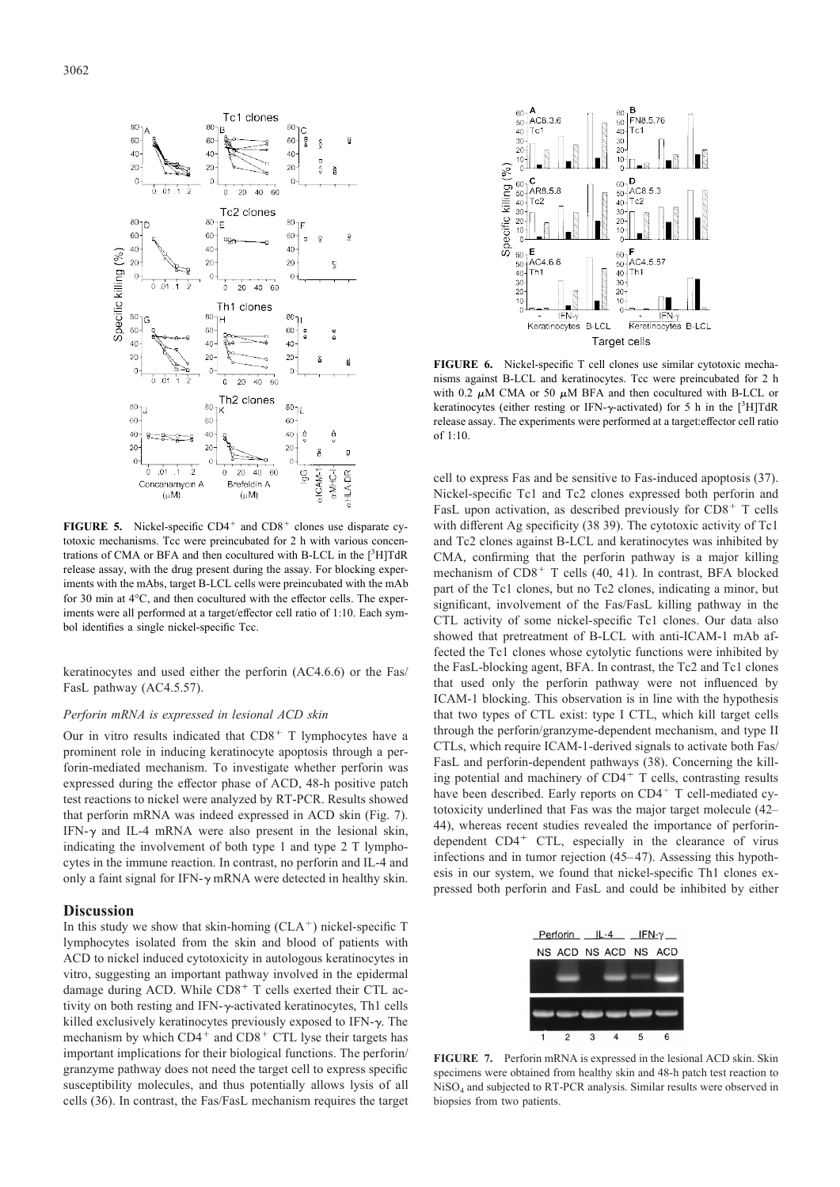

**FIGURE 5.** Nickel-specific  $CD4^+$  and  $CD8^+$  clones use disparate cytotoxic mechanisms. Tcc were preincubated for 2 h with various concentrations of CMA or BFA and then cocultured with B-LCL in the  $[^{3}H]TdR$  CMA, confirming that the per release assay, with the drug present during the assay. For blocking experiments with the mAbs, target B-LCL cells were preincubated with the mAb for 30 min at 4°C, and then cocultured with the effector cells. The experiments were all performed at a target/effector cell ratio of 1:10. Each symbol identifies a single nickel-specific Tcc.

keratinocytes and used either the perforin (AC4.6.6) or the Fas/ FasL pathway (AC4.5.57).

#### Perforin mRNA is expressed in lesional ACD skin

Our in vitro results indicated that  $CD8<sup>+</sup>$  T lymphocytes have a prominent role in inducing keratinocyte apoptosis through a perforin-mediated mechanism. To investigate whether perforin was expressed during the effector phase of ACD, 48-h positive patch test reactions to nickel were analyzed by RT-PCR. Results showed that perforin mRNA was indeed expressed in ACD skin (Fig. 7). IFN- $\gamma$  and IL-4 mRNA were also present in the lesional skin, indicating the involvement of both type 1 and type 2 T lymphocytes in the immune reaction. In contrast, no perforin and IL-4 and only a faint signal for IFN- $\gamma$  mRNA were detected in healthy skin.

# **Discussion**

In this study we show that skin-homing  $(CLA<sup>+</sup>)$  nickel-specific T lymphocytes isolated from the skin and blood of patients with ACD to nickel induced cytotoxicity in autologous keratinocytes in vitro, suggesting an important pathway involved in the epidermal damage during ACD. While CD8<sup>+</sup> T cells exerted their CTL activity on both resting and IFN- $\gamma$ -activated keratinocytes, Th1 cells killed exclusively keratinocytes previously exposed to IFN- $\gamma$ . The mechanism by which CD4<sup>+</sup> and CD8<sup>+</sup> CTL lyse their targets has important implications for their biological functions. The perforin/ granzyme pathway does not need the target cell to express specific susceptibility molecules, and thus potentially allows lysis of all cells (36). In contrast, the Fas/FasL mechanism requires the target



FIGURE 6. Nickel-specific T cell clones use similar cytotoxic mechanisms against B-LCL and keratinocytes. Tcc were preincubated for 2 h with 0.2  $\mu$ M CMA or 50  $\mu$ M BFA and then cocultured with B-LCL or keratinocytes (either resting or IFN- $\gamma$ -activated) for 5 h in the [<sup>3</sup>H]TdR release assay. The experiments were performed at a target:effector cell ratio of 1:10.

cell to express Fas and be sensitive to Fas-induced apoptosis (37). Nickel-specific Tc1 and Tc2 clones expressed both perforin and FasL upon activation, as described previously for  $CD8<sup>+</sup>$  T cells with different Ag specificity (38 39). The cytotoxic activity of Tc1 and Tc2 clones against B-LCL and keratinocytes was inhibited by CMA, confirming that the perforin pathway is a major killing mechanism of  $CD8<sup>+</sup>$  T cells (40, 41). In contrast, BFA blocked part of the Tc1 clones, but no Tc2 clones, indicating a minor, but significant, involvement of the Fas/FasL killing pathway in the CTL activity of some nickel-specific Tc1 clones. Our data also showed that pretreatment of B-LCL with anti-ICAM-1 mAb affected the Tc1 clones whose cytolytic functions were inhibited by the FasL-blocking agent, BFA. In contrast, the Tc2 and Tc1 clones that used only the perforin pathway were not influenced by ICAM-1 blocking. This observation is in line with the hypothesis that two types of CTL exist: type I CTL, which kill target cells through the perforin/granzyme-dependent mechanism, and type II CTLs, which require ICAM-1-derived signals to activate both Fas/ FasL and perforin-dependent pathways (38). Concerning the killing potential and machinery of CD4<sup>+</sup> T cells, contrasting results have been described. Early reports on  $CD4^+$  T cell-mediated cytotoxicity underlined that Fas was the major target molecule (42– 44), whereas recent studies revealed the importance of perforindependent  $CD4^+$  CTL, especially in the clearance of virus infections and in tumor rejection  $(45-47)$ . Assessing this hypothesis in our system, we found that nickel-specific Th1 clones expressed both perforin and FasL and could be inhibited by either



FIGURE 7. Perforin mRNA is expressed in the lesional ACD skin. Skin specimens were obtained from healthy skin and 48-h patch test reaction to NiSO<sup>4</sup> and subjected to RT-PCR analysis. Similar results were observed in biopsies from two patients.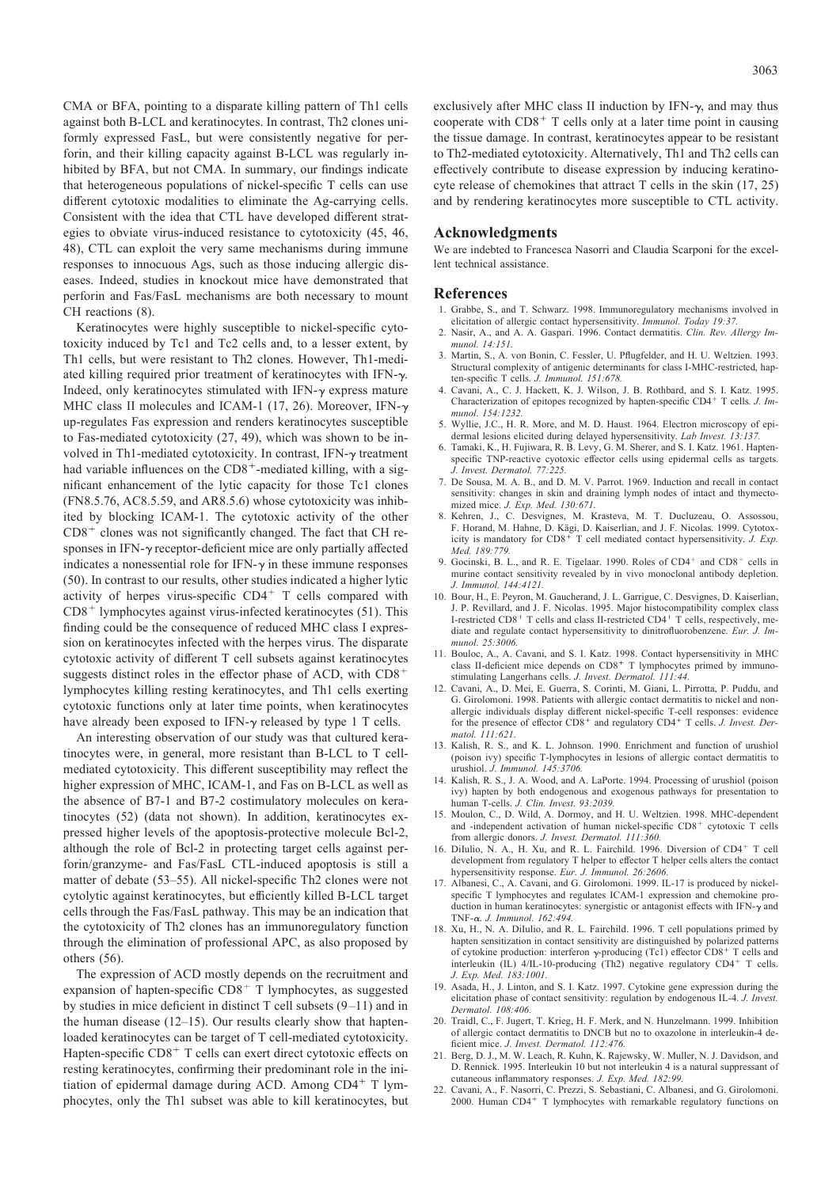CMA or BFA, pointing to a disparate killing pattern of Th1 cells against both B-LCL and keratinocytes. In contrast, Th2 clones uniformly expressed FasL, but were consistently negative for perforin, and their killing capacity against B-LCL was regularly inhibited by BFA, but not CMA. In summary, our findings indicate that heterogeneous populations of nickel-specific T cells can use different cytotoxic modalities to eliminate the Ag-carrying cells. Consistent with the idea that CTL have developed different strategies to obviate virus-induced resistance to cytotoxicity (45, 46, 48), CTL can exploit the very same mechanisms during immune responses to innocuous Ags, such as those inducing allergic diseases. Indeed, studies in knockout mice have demonstrated that perforin and Fas/FasL mechanisms are both necessary to mount CH reactions (8).

Keratinocytes were highly susceptible to nickel-specific cytotoxicity induced by Tc1 and Tc2 cells and, to a lesser extent, by Th1 cells, but were resistant to Th2 clones. However, Th1-mediated killing required prior treatment of keratinocytes with IFN- $\gamma$ . Indeed, only keratinocytes stimulated with IFN- $\gamma$  express mature MHC class II molecules and ICAM-1 (17, 26). Moreover, IFN- $\gamma$ up-regulates Fas expression and renders keratinocytes susceptible to Fas-mediated cytotoxicity (27, 49), which was shown to be involved in Th1-mediated cytotoxicity. In contrast, IFN- $\gamma$  treatment had variable influences on the  $CD8<sup>+</sup>$ -mediated killing, with a significant enhancement of the lytic capacity for those Tc1 clones (FN8.5.76, AC8.5.59, and AR8.5.6) whose cytotoxicity was inhibited by blocking ICAM-1. The cytotoxic activity of the other  $CD8<sup>+</sup>$  clones was not significantly changed. The fact that CH responses in IFN- $\gamma$  receptor-deficient mice are only partially affected indicates a nonessential role for  $IFN-\gamma$  in these immune responses (50). In contrast to our results, other studies indicated a higher lytic activity of herpes virus-specific  $CD4<sup>+</sup>$  T cells compared with  $CD8<sup>+</sup>$  lymphocytes against virus-infected keratinocytes (51). This finding could be the consequence of reduced MHC class I expression on keratinocytes infected with the herpes virus. The disparate cytotoxic activity of different T cell subsets against keratinocytes suggests distinct roles in the effector phase of ACD, with CD8<sup>+</sup> lymphocytes killing resting keratinocytes, and Th1 cells exerting cytotoxic functions only at later time points, when keratinocytes have already been exposed to IFN- $\gamma$  released by type 1 T cells.

An interesting observation of our study was that cultured keratinocytes were, in general, more resistant than B-LCL to T cellmediated cytotoxicity. This different susceptibility may reflect the higher expression of MHC, ICAM-1, and Fas on B-LCL as well as the absence of B7-1 and B7-2 costimulatory molecules on keratinocytes (52) (data not shown). In addition, keratinocytes expressed higher levels of the apoptosis-protective molecule Bcl-2, although the role of Bcl-2 in protecting target cells against perforin/granzyme- and Fas/FasL CTL-induced apoptosis is still a matter of debate (53–55). All nickel-specific Th2 clones were not cytolytic against keratinocytes, but efficiently killed B-LCL target cells through the Fas/FasL pathway. This may be an indication that the cytotoxicity of Th2 clones has an immunoregulatory function through the elimination of professional APC, as also proposed by others (56).

The expression of ACD mostly depends on the recruitment and expansion of hapten-specific  $CDS<sup>+</sup> T$  lymphocytes, as suggested by studies in mice deficient in distinct T cell subsets (9–11) and in the human disease (12–15). Our results clearly show that haptenloaded keratinocytes can be target of T cell-mediated cytotoxicity. Hapten-specific CD8<sup>+</sup> T cells can exert direct cytotoxic effects on resting keratinocytes, confirming their predominant role in the initiation of epidermal damage during ACD. Among  $CD4^+$  T lymphocytes, only the Th1 subset was able to kill keratinocytes, but exclusively after MHC class II induction by IFN- $\gamma$ , and may thus cooperate with  $CD8<sup>+</sup>$  T cells only at a later time point in causing the tissue damage. In contrast, keratinocytes appear to be resistant to Th2-mediated cytotoxicity. Alternatively, Th1 and Th2 cells can effectively contribute to disease expression by inducing keratinocyte release of chemokines that attract T cells in the skin (17, 25) and by rendering keratinocytes more susceptible to CTL activity.

#### Acknowledgments

We are indebted to Francesca Nasorri and Claudia Scarponi for the excellent technical assistance.

# References

- 1. Grabbe, S., and T. Schwarz. 1998. Immunoregulatory mechanisms involved in elicitation of allergic contact hypersensitivity. Immunol. Today 19:37.
- 2. Nasir, A., and A. A. Gaspari. 1996. Contact dermatitis. Clin. Rev. Allergy Immunol. 14:151.
- 3. Martin, S., A. von Bonin, C. Fessler, U. Pflugfelder, and H. U. Weltzien. 1993. Structural complexity of antigenic determinants for class I-MHC-restricted, hapten-specific T cells. J. Immunol. 151:678.
- 4. Cavani, A., C. J. Hackett, K. J. Wilson, J. B. Rothbard, and S. I. Katz. 1995. Characterization of epitopes recognized by hapten-specific CD4<sup>+</sup> T cells. J. Immunol. 154:1232.
- 5. Wyllie, J.C., H. R. More, and M. D. Haust. 1964. Electron microscopy of epidermal lesions elicited during delayed hypersensitivity. Lab Invest. 13:137.
- 6. Tamaki, K., H. Fujiwara, R. B. Levy, G. M. Sherer, and S. I. Katz. 1961. Haptenspecific TNP-reactive cyotoxic effector cells using epidermal cells as targets. J. Invest. Dermatol. 77:225.
- 7. De Sousa, M. A. B., and D. M. V. Parrot. 1969. Induction and recall in contact sensitivity: changes in skin and draining lymph nodes of intact and thymectomized mice. J. Exp. Med. 130:671.
- 8. Kehren, J., C. Desvignes, M. Krasteva, M. T. Ducluzeau, O. Assossou, F. Horand, M. Hahne, D. Kägi, D. Kaiserlian, and J. F. Nicolas. 1999. Cytotoxicity is mandatory for  $CD8^+$  T cell mediated contact hypersensitivity. J. Exp. Med. 189:779.
- 9. Gocinski, B. L., and R. E. Tigelaar. 1990. Roles of  $CD4^+$  and  $CD8^+$  cells in murine contact sensitivity revealed by in vivo monoclonal antibody depletion. J. Immunol. 144:4121.
- 10. Bour, H., E. Peyron, M. Gaucherand, J. L. Garrigue, C. Desvignes, D. Kaiserlian, J. P. Revillard, and J. F. Nicolas. 1995. Major histocompatibility complex class I-restricted CD8<sup>+</sup> T cells and class II-restricted CD4<sup>+</sup> T cells, respectively, mediate and regulate contact hypersensitivity to dinitrofluorobenzene. Eur. J. Immunol. 25:3006.
- 11. Bouloc, A., A. Cavani, and S. I. Katz. 1998. Contact hypersensitivity in MHC class II-deficient mice depends on CD8<sup>+</sup> T lymphocytes primed by immunostimulating Langerhans cells. J. Invest. Dermatol. 111:44.
- 12. Cavani, A., D. Mei, E. Guerra, S. Corinti, M. Giani, L. Pirrotta, P. Puddu, and G. Girolomoni. 1998. Patients with allergic contact dermatitis to nickel and nonallergic individuals display different nickel-specific T-cell responses: evidence for the presence of effector  $CD8<sup>+</sup>$  and regulatory  $CD4<sup>+</sup>$  T cells. J. Invest. Dermatol. 111:621.
- 13. Kalish, R. S., and K. L. Johnson. 1990. Enrichment and function of urushiol (poison ivy) specific T-lymphocytes in lesions of allergic contact dermatitis to urushiol. J. Immunol. 145:3706.
- 14. Kalish, R. S., J. A. Wood, and A. LaPorte. 1994. Processing of urushiol (poison ivy) hapten by both endogenous and exogenous pathways for presentation to human T-cells. J. Clin. Invest. 93:2039.
- 15. Moulon, C., D. Wild, A. Dormoy, and H. U. Weltzien. 1998. MHC-dependent and -independent activation of human nickel-specific  $CD8<sup>+</sup>$  cytotoxic T cells from allergic donors. J. Invest. Dermatol. 111:360.
- 16. DiIulio, N. A., H. Xu, and R. L. Fairchild. 1996. Diversion of CD4<sup>+</sup> T cell development from regulatory T helper to effector T helper cells alters the contact hypersensitivity response. Eur. J. Immunol. 26:2606.
- 17. Albanesi, C., A. Cavani, and G. Girolomoni. 1999. IL-17 is produced by nickelspecific T lymphocytes and regulates ICAM-1 expression and chemokine production in human keratinocytes: synergistic or antagonist effects with IFN- $\gamma$  and TNF- $\alpha$ . J. Immunol. 162:494.
- 18. Xu, H., N. A. DiIulio, and R. L. Fairchild. 1996. T cell populations primed by hapten sensitization in contact sensitivity are distinguished by polarized patterns of cytokine production: interferon  $\gamma$ -producing (Tc1) effector CD8<sup>+</sup> T cells and interleukin (IL) 4/IL-10-producing (Th2) negative regulatory CD4+ T cells. J. Exp. Med. 183:1001.
- 19. Asada, H., J. Linton, and S. I. Katz. 1997. Cytokine gene expression during the elicitation phase of contact sensitivity: regulation by endogenous IL-4. J. Invest. Dermatol. 108:406.
- 20. Traidl, C., F. Jugert, T. Krieg, H. F. Merk, and N. Hunzelmann. 1999. Inhibition of allergic contact dermatitis to DNCB but no to oxazolone in interleukin-4 deficient mice. J. Invest. Dermatol. 112:476.
- 21. Berg, D. J., M. W. Leach, R. Kuhn, K. Rajewsky, W. Muller, N. J. Davidson, and D. Rennick. 1995. Interleukin 10 but not interleukin 4 is a natural suppressant of cutaneous inflammatory responses. J. Exp. Med. 182:99.
- 22. Cavani, A., F. Nasorri, C. Prezzi, S. Sebastiani, C. Albanesi, and G. Girolomoni. 2000. Human  $CD4^+$  T lymphocytes with remarkable regulatory functions on